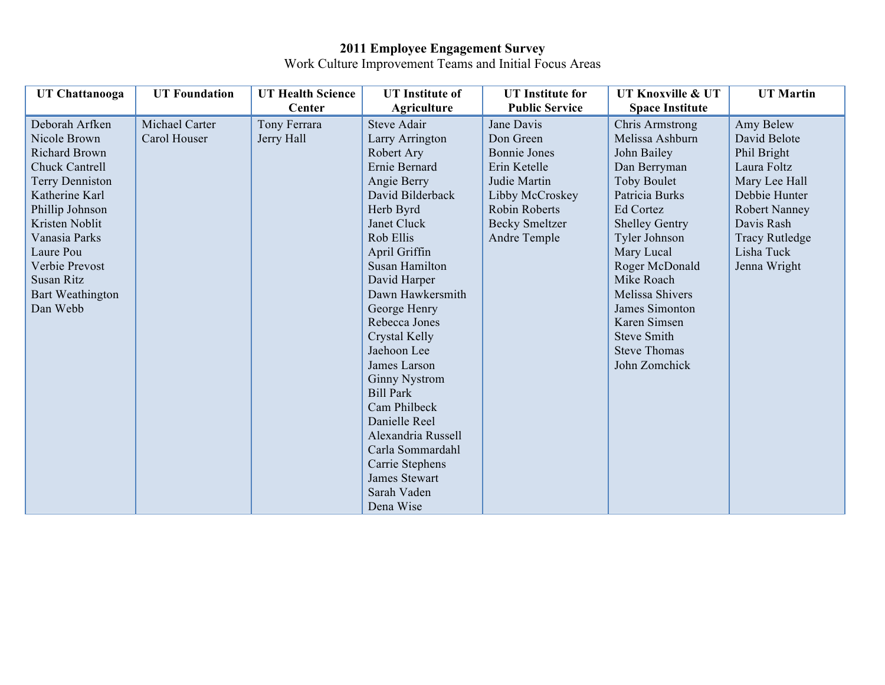## **2011 Employee Engagement Survey**

Work Culture Improvement Teams and Initial Focus Areas

| <b>UT Chattanooga</b>  | <b>UT Foundation</b> | <b>UT Health Science</b> | <b>UT</b> Institute of | <b>UT</b> Institute for | UT Knoxville & UT      | <b>UT Martin</b>      |
|------------------------|----------------------|--------------------------|------------------------|-------------------------|------------------------|-----------------------|
|                        |                      | Center                   | <b>Agriculture</b>     | <b>Public Service</b>   | <b>Space Institute</b> |                       |
| Deborah Arfken         | Michael Carter       | Tony Ferrara             | <b>Steve Adair</b>     | Jane Davis              | <b>Chris Armstrong</b> | Amy Belew             |
| Nicole Brown           | Carol Houser         | Jerry Hall               | Larry Arrington        | Don Green               | Melissa Ashburn        | David Belote          |
| <b>Richard Brown</b>   |                      |                          | Robert Ary             | <b>Bonnie Jones</b>     | John Bailey            | Phil Bright           |
| <b>Chuck Cantrell</b>  |                      |                          | Ernie Bernard          | Erin Ketelle            | Dan Berryman           | Laura Foltz           |
| <b>Terry Denniston</b> |                      |                          | Angie Berry            | Judie Martin            | <b>Toby Boulet</b>     | Mary Lee Hall         |
| Katherine Karl         |                      |                          | David Bilderback       | Libby McCroskey         | Patricia Burks         | Debbie Hunter         |
| Phillip Johnson        |                      |                          | Herb Byrd              | <b>Robin Roberts</b>    | <b>Ed Cortez</b>       | <b>Robert Nanney</b>  |
| Kristen Noblit         |                      |                          | Janet Cluck            | <b>Becky Smeltzer</b>   | <b>Shelley Gentry</b>  | Davis Rash            |
| Vanasia Parks          |                      |                          | Rob Ellis              | Andre Temple            | Tyler Johnson          | <b>Tracy Rutledge</b> |
| Laure Pou              |                      |                          | April Griffin          |                         | Mary Lucal             | Lisha Tuck            |
| Verbie Prevost         |                      |                          | Susan Hamilton         |                         | Roger McDonald         | Jenna Wright          |
| Susan Ritz             |                      |                          | David Harper           |                         | Mike Roach             |                       |
| Bart Weathington       |                      |                          | Dawn Hawkersmith       |                         | <b>Melissa Shivers</b> |                       |
| Dan Webb               |                      |                          | George Henry           |                         | James Simonton         |                       |
|                        |                      |                          | Rebecca Jones          |                         | Karen Simsen           |                       |
|                        |                      |                          | Crystal Kelly          |                         | <b>Steve Smith</b>     |                       |
|                        |                      |                          | Jaehoon Lee            |                         | <b>Steve Thomas</b>    |                       |
|                        |                      |                          | James Larson           |                         | John Zomchick          |                       |
|                        |                      |                          | <b>Ginny Nystrom</b>   |                         |                        |                       |
|                        |                      |                          | <b>Bill Park</b>       |                         |                        |                       |
|                        |                      |                          | Cam Philbeck           |                         |                        |                       |
|                        |                      |                          | Danielle Reel          |                         |                        |                       |
|                        |                      |                          | Alexandria Russell     |                         |                        |                       |
|                        |                      |                          | Carla Sommardahl       |                         |                        |                       |
|                        |                      |                          | Carrie Stephens        |                         |                        |                       |
|                        |                      |                          | James Stewart          |                         |                        |                       |
|                        |                      |                          | Sarah Vaden            |                         |                        |                       |
|                        |                      |                          | Dena Wise              |                         |                        |                       |